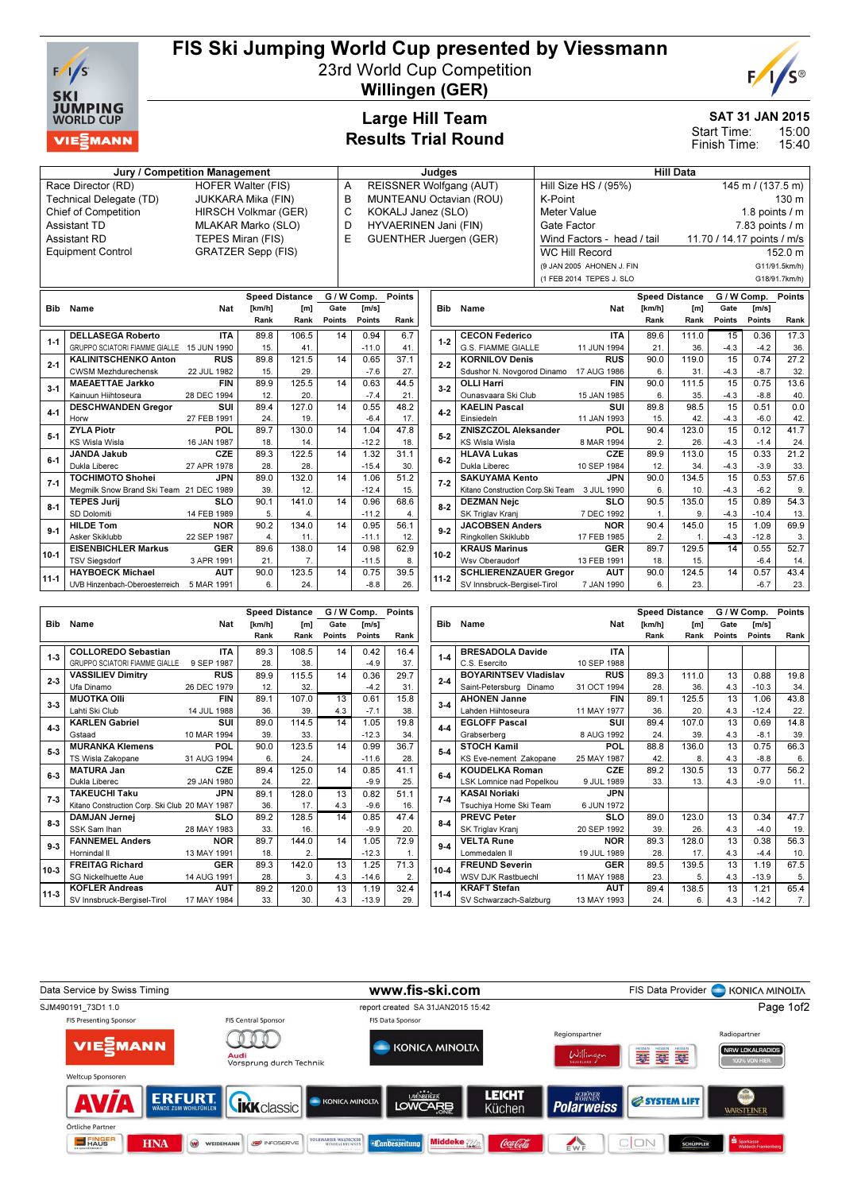

## FIS Ski Jumping World Cup presented by Viessmann

23rd World Cup Competition



Willingen (GER)

### Large Hill Team Results Trial Round

### SAT 31 JAN 2015

Finish Time:

15:00 15:40 Start Time:

# Jury / Competition Management de Late and Judges and Hill Data

Technical Delegate (TD) Equipment Control GRATZER Sepp (FIS)

Race Director (RD) HOFER Walter (FIS)<br>Technical Delegate (TD) JUKKARA Mika (FIN) Chief of Competition HIRSCH Volkmar (GER) Assistant TD **MLAKAR Marko (SLO)**<br>Assistant RD **TEPES Miran (FIS)** TEPES Miran (FIS)

- A REISSNER Wolfgang (AUT)<br>B MUNTEANU Octavian (ROU **MUNTEANU Octavian (ROU)** C KOKALJ Janez (SLO)
- 
- D HYVAERINEN Jani (FIN)<br>E GUENTHER Juergen (GE
	- GUENTHER Juergen (GER)

| $\sim$ $\sim$ $\sim$ $\sim$<br>$\sim$ $\sim$ $\sim$<br>- - - |                                                  |  |  |  |  |  |  |  |  |  |
|--------------------------------------------------------------|--------------------------------------------------|--|--|--|--|--|--|--|--|--|
|                                                              |                                                  |  |  |  |  |  |  |  |  |  |
|                                                              | G18/91.7km/h)                                    |  |  |  |  |  |  |  |  |  |
| (9 JAN 2005 AHONEN J. FIN                                    | G11/91.5km/h)                                    |  |  |  |  |  |  |  |  |  |
| <b>WC Hill Record</b>                                        | 152.0 m                                          |  |  |  |  |  |  |  |  |  |
| Wind Factors - head / tail                                   | 11.70 / 14.17 points / m/s                       |  |  |  |  |  |  |  |  |  |
| Gate Factor                                                  | $7.83$ points $/ m$                              |  |  |  |  |  |  |  |  |  |
| Meter Value                                                  | 1.8 points $\sqrt{}$ m                           |  |  |  |  |  |  |  |  |  |
| K-Point                                                      | 130 <sub>m</sub>                                 |  |  |  |  |  |  |  |  |  |
|                                                              | $145 \text{ m}$ / (137.5 m)                      |  |  |  |  |  |  |  |  |  |
|                                                              | Hill Size HS / (95%)<br>(1 FEB 2014 TEPES J. SLO |  |  |  |  |  |  |  |  |  |

|            |                                           |             |                 | <b>Speed Distance</b> |        | G / W Comp. | <b>Points</b> |
|------------|-------------------------------------------|-------------|-----------------|-----------------------|--------|-------------|---------------|
| <b>Bib</b> | Name                                      | Nat         | [km/h]          | [m]                   | Gate   | Im/s1       |               |
|            |                                           |             | Rank            | Rank                  | Points | Points      | Rank          |
| $1 - 1$    | <b>DELLASEGA Roberto</b>                  | <b>ITA</b>  | 89.8            | 106.5                 | 14     | 0.94        | 6.7           |
|            | GRUPPO SCIATORI FIAMME GIALLE 15 JUN 1990 |             | 15 <sub>1</sub> | 41.                   |        | $-11.0$     | 41.           |
| $2 - 1$    | <b>KALINITSCHENKO Anton</b>               | <b>RUS</b>  | 89.8            | 121.5                 | 14     | 0.65        | 37.1          |
|            | <b>CWSM Mezhdurechensk</b>                | 22 JUL 1982 | 15.             | 29.                   |        | $-7.6$      | 27.           |
| $3 - 1$    | <b>MAEAETTAE Jarkko</b>                   | <b>FIN</b>  | 89.9            | 125.5                 | 14     | 0.63        | 44.5          |
|            | Kainuun Hiihtoseura                       | 28 DEC 1994 | 12.             | 20.                   |        | $-7.4$      | 21.           |
| $4-1$      | <b>DESCHWANDEN Gregor</b>                 | SUI         | 89.4            | 127.0                 | 14     | 0.55        | 48.2          |
|            | Horw                                      | 27 FEB 1991 | 24.             | 19.                   |        | $-6.4$      | 17.           |
| $5-1$      | <b>ZYLA Piotr</b>                         | <b>POL</b>  | 89.7            | 130.0                 | 14     | 1.04        | 47.8          |
|            | <b>KS Wisla Wisla</b>                     | 16 JAN 1987 | 18.             | 14.                   |        | $-12.2$     | 18.           |
| $6-1$      | <b>JANDA Jakub</b>                        | CZE         | 89.3            | 122.5                 | 14     | 1.32        | 31.1          |
|            | Dukla Liberec                             | 27 APR 1978 | 28.             | 28.                   |        | $-15.4$     | 30.           |
| $7-1$      | <b>TOCHIMOTO Shohei</b>                   | <b>JPN</b>  | 89.0            | 132.0                 | 14     | 1.06        | 51.2          |
|            | Megmilk Snow Brand Ski Team 21 DEC 1989   |             | 39.             | 12.                   |        | $-12.4$     | 15.           |
| $8 - 1$    | <b>TEPES Jurii</b>                        | <b>SLO</b>  | 90.1            | 141.0                 | 14     | 0.96        | 68.6          |
|            | SD Dolomiti                               | 14 FEB 1989 | 5.              | 4.                    |        | $-11.2$     | 4.            |
| $9-1$      | <b>HILDE Tom</b>                          | <b>NOR</b>  | 90.2            | 134.0                 | 14     | 0.95        | 56.1          |
|            | Asker Skiklubb                            | 22 SEP 1987 | 4.              | 11.                   |        | $-11.1$     | 12.           |
| $10-1$     | <b>EISENBICHLER Markus</b>                | <b>GER</b>  | 89.6            | 138.0                 | 14     | 0.98        | 62.9          |
|            | <b>TSV Siegsdorf</b>                      | 3 APR 1991  | 21.             | $\overline{7}$ .      |        | $-11.5$     | 8.            |
| $11 - 1$   | <b>HAYBOECK Michael</b>                   | <b>AUT</b>  | 90.0            | 123.5                 | 14     | 0.75        | 39.5          |
|            | UVB Hinzenbach-Oberoesterreich            | 5 MAR 1991  | 6.              | 24.                   |        | $-8.8$      | 26.           |

|            |                                    |             |              | <b>Speed Distance</b> | G / W Comp. | <b>Points</b> |      |
|------------|------------------------------------|-------------|--------------|-----------------------|-------------|---------------|------|
| <b>Bib</b> | Name                               | <b>Nat</b>  | [km/h]       | [m]                   | Gate        | Im/s1         |      |
|            |                                    |             | Rank         | Rank                  | Points      | Points        | Rank |
| $1 - 2$    | <b>CECON Federico</b>              | <b>ITA</b>  | 89.6         | 111.0                 | 15          | 0.36          | 17.3 |
|            | G.S. FIAMME GIALLE                 | 11 JUN 1994 | 21.          | 36.                   | $-4.3$      | $-4.2$        | 36.  |
| $2 - 2$    | <b>KORNILOV Denis</b>              | <b>RUS</b>  | 90.0         | 119.0                 | 15          | 0.74          | 27.2 |
|            | Sdushor N. Novgorod Dinamo         | 17 AUG 1986 | 6.           | 31.                   | $-4.3$      | $-8.7$        | 32.  |
| $3 - 2$    | <b>OLLI Harri</b>                  | <b>FIN</b>  | 90.0         | 111.5                 | 15          | 0.75          | 13.6 |
|            | Ounasvaara Ski Club                | 15 JAN 1985 | 6.           | 35.                   | $-4.3$      | $-8.8$        | 40.  |
| $4 - 2$    | <b>KAELIN Pascal</b>               | SUI         | 89.8         | 98.5                  | 15          | 0.51          | 0.0  |
|            | Einsiedeln                         | 11 JAN 1993 | 15.          | 42.                   | $-4.3$      | $-6.0$        | 42.  |
| $5-2$      | <b>ZNISZCZOL Aleksander</b>        | POL         | 90.4         | 123.0                 | 15          | 0.12          | 41.7 |
|            | <b>KS Wisla Wisla</b>              | 8 MAR 1994  | $\mathbf{2}$ | 26.                   | $-4.3$      | $-1.4$        | 24.  |
| $6-2$      | <b>HLAVA Lukas</b>                 | <b>CZE</b>  | 89.9         | 113.0                 | 15          | 0.33          | 21.2 |
|            | Dukla Liberec                      | 10 SEP 1984 | 12.          | 34.                   | $-4.3$      | $-3.9$        | 33.  |
| $7-2$      | SAKUYAMA Kento                     | <b>JPN</b>  | 90.0         | 134.5                 | 15          | 0.53          | 57.6 |
|            | Kitano Construction Corp. Ski Team | 3 JUL 1990  | 6.           | 10.                   | $-4.3$      | $-6.2$        | 9.   |
| $8-2$      | <b>DEZMAN Nejc</b>                 | SLO         | 90.5         | 135.0                 | 15          | 0.89          | 54.3 |
|            | SK Triglay Krani                   | 7 DEC 1992  | 1.           | 9.                    | $-4.3$      | $-10.4$       | 13.  |
| $9 - 2$    | <b>JACOBSEN Anders</b>             | <b>NOR</b>  | 90.4         | 145.0                 | 15          | 1.09          | 69.9 |
|            | Ringkollen Skiklubb                | 17 FEB 1985 | 2.           | 1.                    | $-4.3$      | $-12.8$       | 3.   |
| $10-2$     | <b>KRAUS Marinus</b>               | <b>GER</b>  | 89.7         | 129.5                 | 14          | 0.55          | 52.7 |
|            | Wsv Oberaudorf                     | 13 FEB 1991 | 18.          | 15.                   |             | $-6.4$        | 14.  |
| $11-2$     | <b>SCHLIERENZAUER Gregor</b>       | AUT         | 90.0         | 124.5                 | 14          | 0.57          | 43.4 |
|            | SV Innsbruck-Bergisel-Tirol        | 7 JAN 1990  | 6.           | 23.                   |             | $-6.7$        | 23.  |

|          |                                                |             |        | Speed Distance | G / W Comp. | Points  |      |
|----------|------------------------------------------------|-------------|--------|----------------|-------------|---------|------|
| Bib      | Name                                           | <b>Nat</b>  | [km/h] | [m]            | Gate        | [m/s]   |      |
|          |                                                |             | Rank   | Rank           | Points      | Points  | Rank |
| $1 - 3$  | <b>COLLOREDO Sebastian</b>                     | <b>ITA</b>  | 89.3   | 108.5          | 14          | 0.42    | 16.4 |
|          | GRUPPO SCIATORI FIAMME GIALLE                  | 9 SEP 1987  | 28.    | 38.            |             | $-4.9$  | 37.  |
| $2 - 3$  | <b>VASSILIEV Dimitry</b>                       | <b>RUS</b>  | 89.9   | 115.5          | 14          | 0.36    | 29.7 |
|          | Ufa Dinamo                                     | 26 DEC 1979 | 12.    | 32.            |             | $-4.2$  | 31.  |
| $3 - 3$  | <b>MUOTKA OIII</b>                             | <b>FIN</b>  | 89.1   | 107.0          | 13          | 0.61    | 15.8 |
|          | Lahti Ski Club                                 | 14 JUL 1988 | 36.    | 39.            | 4.3         | $-7.1$  | 38.  |
| $4 - 3$  | <b>KARLEN Gabriel</b>                          | <b>SUI</b>  | 89.0   | 114.5          | 14          | 1.05    | 19.8 |
|          | Gstaad                                         | 10 MAR 1994 | 39.    | 33.            |             | $-12.3$ | 34.  |
| $5-3$    | <b>MURANKA Klemens</b>                         | POL         | 90.0   | 123.5          | 14          | 0.99    | 36.7 |
|          | TS Wisla Zakopane                              | 31 AUG 1994 | 6.     | 24.            |             | $-11.6$ | 28.  |
| $6-3$    | <b>MATURA Jan</b>                              | <b>CZE</b>  | 89.4   | 125.0          | 14          | 0.85    | 41.1 |
|          | Dukla Liberec                                  | 29 JAN 1980 | 24.    | 22.            |             | $-9.9$  | 25.  |
| $7-3$    | <b>TAKEUCHI Taku</b>                           | JPN         | 89.1   | 128.0          | 13          | 0.82    | 51.1 |
|          | Kitano Construction Corp. Ski Club 20 MAY 1987 |             | 36.    | 17.            | 4.3         | $-9.6$  | 16.  |
| $8-3$    | <b>DAMJAN Jernej</b>                           | <b>SLO</b>  | 89.2   | 128.5          | 14          | 0.85    | 47.4 |
|          | SSK Sam Ihan                                   | 28 MAY 1983 | 33.    | 16.            |             | $-9.9$  | 20.  |
| $9 - 3$  | <b>FANNEMEL Anders</b>                         | <b>NOR</b>  | 89.7   | 144.0          | 14          | 1.05    | 72.9 |
|          | Hornindal II                                   | 13 MAY 1991 | 18.    | 2.             |             | $-12.3$ | 1.   |
| $10-3$   | <b>FREITAG Richard</b>                         | <b>GER</b>  | 89.3   | 142.0          | 13          | 1.25    | 71.3 |
|          | <b>SG Nickelhuette Aue</b>                     | 14 AUG 1991 | 28.    | 3.             | 4.3         | $-14.6$ | 2.   |
| $11 - 3$ | <b>KOFLER Andreas</b>                          | <b>AUT</b>  | 89.2   | 120.0          | 13          | 1.19    | 32.4 |
|          | SV Innsbruck-Beraisel-Tirol                    | 17 MAY 1984 | 33.    | 30.            | 4.3         | $-13.9$ | 29.  |

|            |                              |             |        | <b>Speed Distance</b> | G / W Comp. | <b>Points</b> |      |
|------------|------------------------------|-------------|--------|-----------------------|-------------|---------------|------|
| <b>Bib</b> | Name                         | Nat         | [km/h] | [m]                   | Gate        | [m/s]         |      |
|            |                              |             | Rank   | Rank                  | Points      | <b>Points</b> | Rank |
| $1 - 4$    | <b>BRESADOLA Davide</b>      | <b>ITA</b>  |        |                       |             |               |      |
|            | C.S. Esercito                | 10 SEP 1988 |        |                       |             |               |      |
| $2 - 4$    | <b>BOYARINTSEV Vladislav</b> | <b>RUS</b>  | 89.3   | 111.0                 | 13          | 0.88          | 19.8 |
|            | Saint-Petersburg Dinamo      | 31 OCT 1994 | 28.    | 36.                   | 4.3         | $-10.3$       | 34.  |
| $3 - 4$    | <b>AHONEN Janne</b>          | <b>FIN</b>  | 89.1   | 125.5                 | 13          | 1.06          | 43.8 |
|            | Lahden Hiihtoseura           | 11 MAY 1977 | 36.    | 20.                   | 4.3         | $-12.4$       | 22.  |
| $4-4$      | <b>EGLOFF Pascal</b>         | SUI         | 89.4   | 107.0                 | 13          | 0.69          | 14.8 |
|            | Grabserberg                  | 8 AUG 1992  | 24.    | 39.                   | 4.3         | $-8.1$        | 39.  |
| $5-4$      | <b>STOCH Kamil</b>           | POL         | 88.8   | 136.0                 | 13          | 0.75          | 66.3 |
|            | KS Eve-nement Zakopane       | 25 MAY 1987 | 42.    | 8.                    | 4.3         | $-8.8$        | 6.   |
| $6-4$      | <b>KOUDELKA Roman</b>        | CZE         | 89.2   | 130.5                 | 13          | 0.77          | 56.2 |
|            | LSK Lomnice nad Popelkou     | 9 JUL 1989  | 33.    | 13.                   | 4.3         | $-9.0$        | 11.  |
| $7-4$      | <b>KASAI Noriaki</b>         | <b>JPN</b>  |        |                       |             |               |      |
|            | Tsuchiya Home Ski Team       | 6 JUN 1972  |        |                       |             |               |      |
| $8-4$      | <b>PREVC Peter</b>           | <b>SLO</b>  | 89.0   | 123.0                 | 13          | 0.34          | 47.7 |
|            | SK Triglav Kranj             | 20 SEP 1992 | 39.    | 26.                   | 4.3         | $-4.0$        | 19.  |
| $9-4$      | <b>VELTA Rune</b>            | <b>NOR</b>  | 89.3   | 128.0                 | 13          | 0.38          | 56.3 |
|            | Lommedalen II                | 19 JUL 1989 | 28.    | 17.                   | 4.3         | $-4.4$        | 10.  |
| 10-4       | <b>FREUND Severin</b>        | <b>GER</b>  | 89.5   | 139.5                 | 13          | 1.19          | 67.5 |
|            | <b>WSV DJK Rastbuechl</b>    | 11 MAY 1988 | 23.    | 5.                    | 4.3         | $-13.9$       | 5.   |
| $11 - 4$   | <b>KRAFT Stefan</b>          | <b>AUT</b>  | 89.4   | 138.5                 | 13          | 1.21          | 65.4 |
|            | SV Schwarzach-Salzburg       | 13 MAY 1993 | 24.    | 6.                    | 4.3         | $-14.2$       | 7.   |